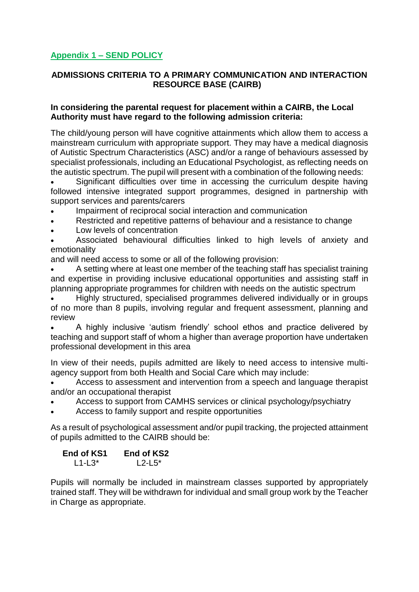## **Appendix 1 – SEND POLICY**

## **ADMISSIONS CRITERIA TO A PRIMARY COMMUNICATION AND INTERACTION RESOURCE BASE (CAIRB)**

## **In considering the parental request for placement within a CAIRB, the Local Authority must have regard to the following admission criteria:**

The child/young person will have cognitive attainments which allow them to access a mainstream curriculum with appropriate support. They may have a medical diagnosis of Autistic Spectrum Characteristics (ASC) and/or a range of behaviours assessed by specialist professionals, including an Educational Psychologist, as reflecting needs on the autistic spectrum. The pupil will present with a combination of the following needs:

 Significant difficulties over time in accessing the curriculum despite having followed intensive integrated support programmes, designed in partnership with support services and parents/carers

- Impairment of reciprocal social interaction and communication
- Restricted and repetitive patterns of behaviour and a resistance to change
- Low levels of concentration

 Associated behavioural difficulties linked to high levels of anxiety and emotionality

and will need access to some or all of the following provision:

 A setting where at least one member of the teaching staff has specialist training and expertise in providing inclusive educational opportunities and assisting staff in planning appropriate programmes for children with needs on the autistic spectrum

 Highly structured, specialised programmes delivered individually or in groups of no more than 8 pupils, involving regular and frequent assessment, planning and review

 A highly inclusive 'autism friendly' school ethos and practice delivered by teaching and support staff of whom a higher than average proportion have undertaken professional development in this area

In view of their needs, pupils admitted are likely to need access to intensive multiagency support from both Health and Social Care which may include:

 Access to assessment and intervention from a speech and language therapist and/or an occupational therapist

- Access to support from CAMHS services or clinical psychology/psychiatry
- Access to family support and respite opportunities

As a result of psychological assessment and/or pupil tracking, the projected attainment of pupils admitted to the CAIRB should be:

| <b>End of KS1</b> | End of KS2 |
|-------------------|------------|
| $L1-L3^*$         | $L2-L5^*$  |

Pupils will normally be included in mainstream classes supported by appropriately trained staff. They will be withdrawn for individual and small group work by the Teacher in Charge as appropriate.